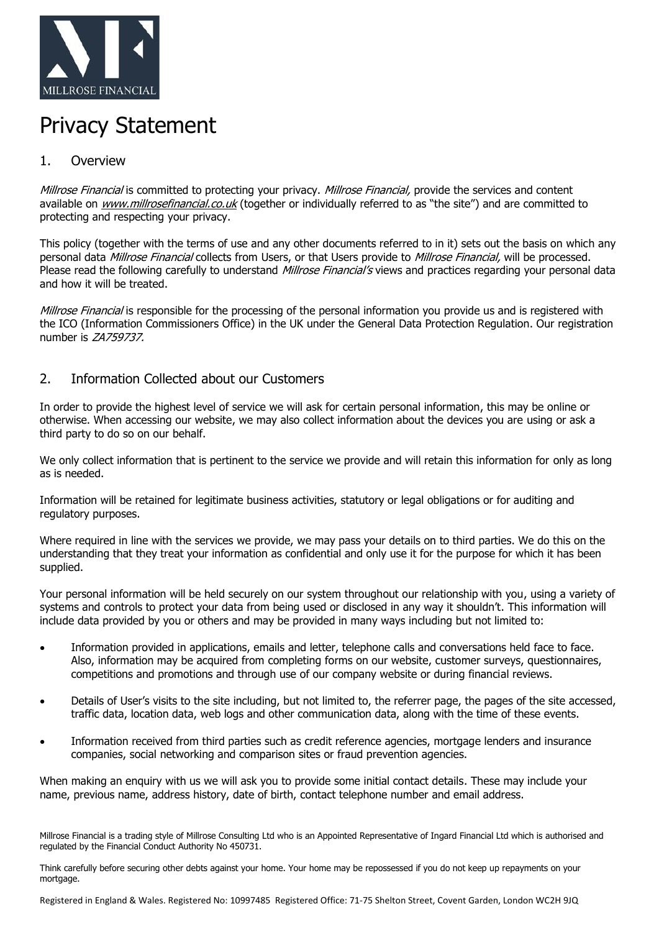

# Privacy Statement

## 1. Overview

Millrose Financial is committed to protecting your privacy. Millrose Financial, provide the services and content available on [www.millrosefinancial.co.uk](http://www.millrosefinancial.co.uk/) (together or individually referred to as "the site") and are committed to protecting and respecting your privacy.

This policy (together with the terms of use and any other documents referred to in it) sets out the basis on which any personal data *Millrose Financial* collects from Users, or that Users provide to *Millrose Financial*, will be processed. Please read the following carefully to understand *Millrose Financial's* views and practices regarding your personal data and how it will be treated.

Millrose Financial is responsible for the processing of the personal information you provide us and is registered with the ICO (Information Commissioners Office) in the UK under the General Data Protection Regulation. Our registration number is ZA759737.

## 2. Information Collected about our Customers

In order to provide the highest level of service we will ask for certain personal information, this may be online or otherwise. When accessing our website, we may also collect information about the devices you are using or ask a third party to do so on our behalf.

We only collect information that is pertinent to the service we provide and will retain this information for only as long as is needed.

Information will be retained for legitimate business activities, statutory or legal obligations or for auditing and regulatory purposes.

Where required in line with the services we provide, we may pass your details on to third parties. We do this on the understanding that they treat your information as confidential and only use it for the purpose for which it has been supplied.

Your personal information will be held securely on our system throughout our relationship with you, using a variety of systems and controls to protect your data from being used or disclosed in any way it shouldn't. This information will include data provided by you or others and may be provided in many ways including but not limited to:

- Information provided in applications, emails and letter, telephone calls and conversations held face to face. Also, information may be acquired from completing forms on our website, customer surveys, questionnaires, competitions and promotions and through use of our company website or during financial reviews.
- Details of User's visits to the site including, but not limited to, the referrer page, the pages of the site accessed, traffic data, location data, web logs and other communication data, along with the time of these events.
- Information received from third parties such as credit reference agencies, mortgage lenders and insurance companies, social networking and comparison sites or fraud prevention agencies.

When making an enquiry with us we will ask you to provide some initial contact details. These may include your name, previous name, address history, date of birth, contact telephone number and email address.

Millrose Financial is a trading style of Millrose Consulting Ltd who is an Appointed Representative of Ingard Financial Ltd which is authorised and regulated by the Financial Conduct Authority No 450731.

Think carefully before securing other debts against your home. Your home may be repossessed if you do not keep up repayments on your mortgage.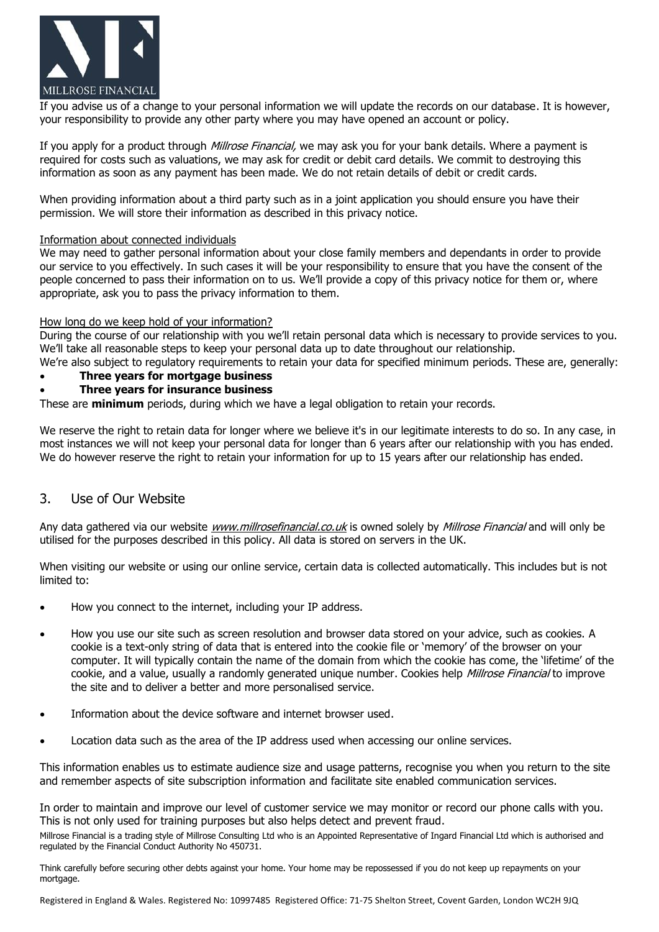

If you advise us of a change to your personal information we will update the records on our database. It is however, your responsibility to provide any other party where you may have opened an account or policy.

If you apply for a product through *Millrose Financial*, we may ask you for your bank details. Where a payment is required for costs such as valuations, we may ask for credit or debit card details. We commit to destroying this information as soon as any payment has been made. We do not retain details of debit or credit cards.

When providing information about a third party such as in a joint application you should ensure you have their permission. We will store their information as described in this privacy notice.

#### Information about connected individuals

We may need to gather personal information about your close family members and dependants in order to provide our service to you effectively. In such cases it will be your responsibility to ensure that you have the consent of the people concerned to pass their information on to us. We'll provide a copy of this privacy notice for them or, where appropriate, ask you to pass the privacy information to them.

#### How long do we keep hold of your information?

During the course of our relationship with you we'll retain personal data which is necessary to provide services to you. We'll take all reasonable steps to keep your personal data up to date throughout our relationship.

We're also subject to regulatory reguirements to retain your data for specified minimum periods. These are, generally: • **Three years for mortgage business**

#### • **Three years for insurance business**

These are **minimum** periods, during which we have a legal obligation to retain your records.

We reserve the right to retain data for longer where we believe it's in our legitimate interests to do so. In any case, in most instances we will not keep your personal data for longer than 6 years after our relationship with you has ended. We do however reserve the right to retain your information for up to 15 years after our relationship has ended.

#### 3. Use of Our Website

Any data gathered via our website *[www.millrosefinancial.co.uk](http://www.millrosefinancial.co.uk/)* is owned solely by *Millrose Financial* and will only be utilised for the purposes described in this policy. All data is stored on servers in the UK.

When visiting our website or using our online service, certain data is collected automatically. This includes but is not limited to:

- How you connect to the internet, including your IP address.
- How you use our site such as screen resolution and browser data stored on your advice, such as cookies. A cookie is a text-only string of data that is entered into the cookie file or 'memory' of the browser on your computer. It will typically contain the name of the domain from which the cookie has come, the 'lifetime' of the cookie, and a value, usually a randomly generated unique number. Cookies help Millrose Financial to improve the site and to deliver a better and more personalised service.
- Information about the device software and internet browser used.
- Location data such as the area of the IP address used when accessing our online services.

This information enables us to estimate audience size and usage patterns, recognise you when you return to the site and remember aspects of site subscription information and facilitate site enabled communication services.

In order to maintain and improve our level of customer service we may monitor or record our phone calls with you. This is not only used for training purposes but also helps detect and prevent fraud.

Millrose Financial is a trading style of Millrose Consulting Ltd who is an Appointed Representative of Ingard Financial Ltd which is authorised and regulated by the Financial Conduct Authority No 450731.

Think carefully before securing other debts against your home. Your home may be repossessed if you do not keep up repayments on your mortgage.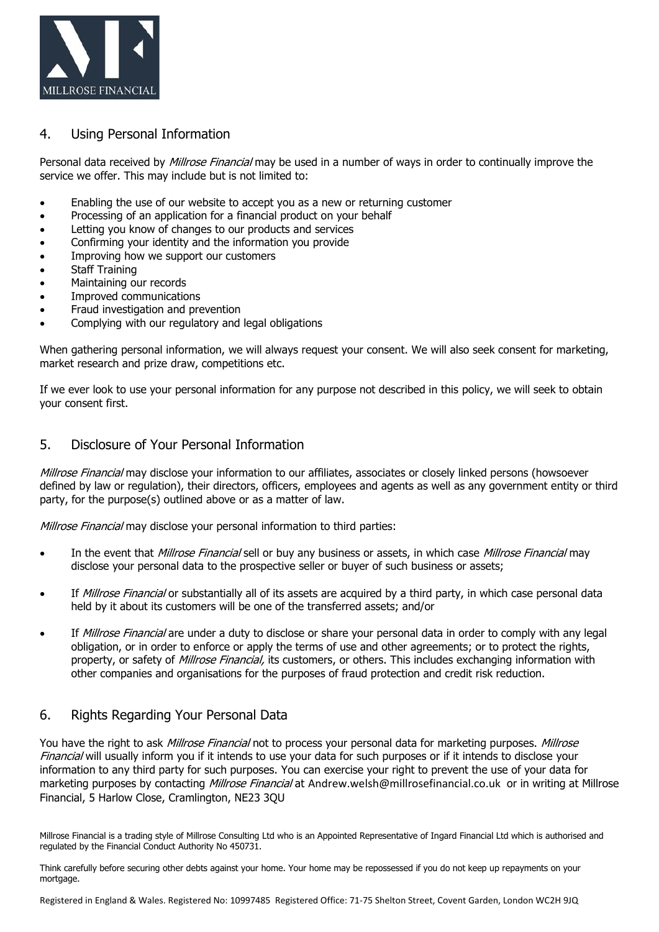

#### 4. Using Personal Information

Personal data received by *Millrose Financial* may be used in a number of ways in order to continually improve the service we offer. This may include but is not limited to:

- Enabling the use of our website to accept you as a new or returning customer
- Processing of an application for a financial product on your behalf
- Letting you know of changes to our products and services
- Confirming your identity and the information you provide
- Improving how we support our customers
- Staff Training
- Maintaining our records
- Improved communications
- Fraud investigation and prevention
- Complying with our regulatory and legal obligations

When gathering personal information, we will always request your consent. We will also seek consent for marketing, market research and prize draw, competitions etc.

If we ever look to use your personal information for any purpose not described in this policy, we will seek to obtain your consent first.

## 5. Disclosure of Your Personal Information

Millrose Financial may disclose your information to our affiliates, associates or closely linked persons (howsoever defined by law or regulation), their directors, officers, employees and agents as well as any government entity or third party, for the purpose(s) outlined above or as a matter of law.

Millrose Financial may disclose your personal information to third parties:

- In the event that Millrose Financial sell or buy any business or assets, in which case Millrose Financial may disclose your personal data to the prospective seller or buyer of such business or assets;
- If Millrose Financial or substantially all of its assets are acquired by a third party, in which case personal data held by it about its customers will be one of the transferred assets; and/or
- If Millrose Financial are under a duty to disclose or share your personal data in order to comply with any legal obligation, or in order to enforce or apply the terms of use and other agreements; or to protect the rights, property, or safety of *Millrose Financial*, its customers, or others. This includes exchanging information with other companies and organisations for the purposes of fraud protection and credit risk reduction.

## 6. Rights Regarding Your Personal Data

You have the right to ask Millrose Financial not to process your personal data for marketing purposes. Millrose Financial will usually inform you if it intends to use your data for such purposes or if it intends to disclose your information to any third party for such purposes. You can exercise your right to prevent the use of your data for marketing purposes by contacting Millrose Financial at Andrew.welsh@millrosefinancial.co.uk or in writing at Millrose Financial, 5 Harlow Close, Cramlington, NE23 3QU

Millrose Financial is a trading style of Millrose Consulting Ltd who is an Appointed Representative of Ingard Financial Ltd which is authorised and regulated by the Financial Conduct Authority No 450731.

Think carefully before securing other debts against your home. Your home may be repossessed if you do not keep up repayments on your mortgage.